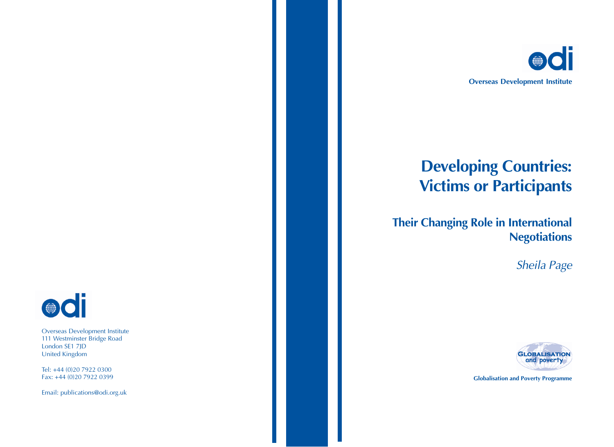

# **Developing Countries: Victims or Participants**

# **Their Changing Role in International Negotiations**

Sheila Page



**Globalisation and Poverty Programme**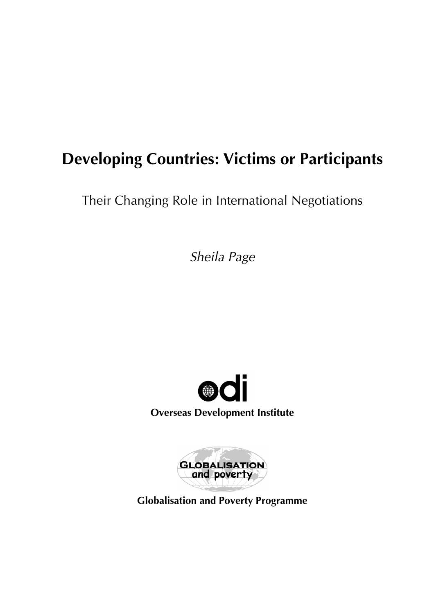# **Developing Countries: Victims or Participants**

Their Changing Role in International Negotiations

*Sheila Page*





**Globalisation and Poverty Programme**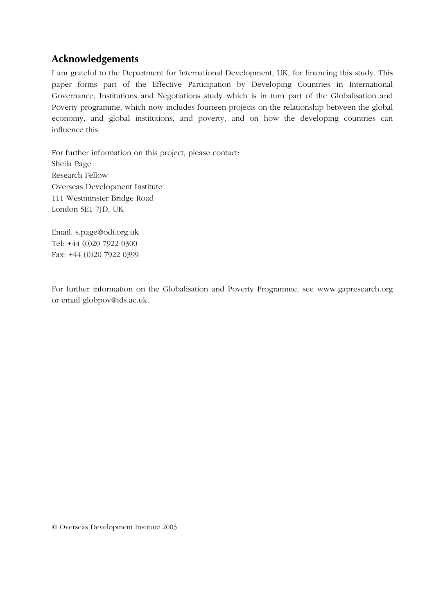# **Acknowledgements**

I am grateful to the Department for International Development, UK, for financing this study. This paper forms part of the Effective Participation by Developing Countries in International Governance, Institutions and Negotiations study which is in turn part of the Globalisation and Poverty programme, which now includes fourteen projects on the relationship between the global economy, and global institutions, and poverty, and on how the developing countries can influence this.

For further information on this project, please contact: Sheila Page Research Fellow Overseas Development Institute 111 Westminster Bridge Road London SE1 7JD, UK

Email: s.page@odi.org.uk Tel: +44 (0)20 7922 0300 Fax: +44 (0)20 7922 0399

For further information on the Globalisation and Poverty Programme, see www.gapresearch.org or email globpov@ids.ac.uk.

© Overseas Development Institute 2003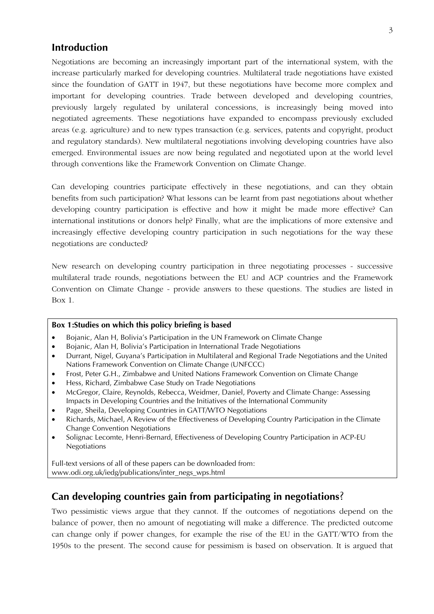### **Introduction**

Negotiations are becoming an increasingly important part of the international system, with the increase particularly marked for developing countries. Multilateral trade negotiations have existed since the foundation of GATT in 1947, but these negotiations have become more complex and important for developing countries. Trade between developed and developing countries, previously largely regulated by unilateral concessions, is increasingly being moved into negotiated agreements. These negotiations have expanded to encompass previously excluded areas (e.g. agriculture) and to new types transaction (e.g. services, patents and copyright, product and regulatory standards). New multilateral negotiations involving developing countries have also emerged. Environmental issues are now being regulated and negotiated upon at the world level through conventions like the Framework Convention on Climate Change.

Can developing countries participate effectively in these negotiations, and can they obtain benefits from such participation? What lessons can be learnt from past negotiations about whether developing country participation is effective and how it might be made more effective? Can international institutions or donors help? Finally, what are the implications of more extensive and increasingly effective developing country participation in such negotiations for the way these negotiations are conducted?

New research on developing country participation in three negotiating processes - successive multilateral trade rounds, negotiations between the EU and ACP countries and the Framework Convention on Climate Change - provide answers to these questions. The studies are listed in Box 1.

#### **Box 1:Studies on which this policy briefing is based**

- Bojanic, Alan H, Bolivia's Participation in the UN Framework on Climate Change
- Bojanic, Alan H, Bolivia's Participation in International Trade Negotiations
- Durrant, Nigel, Guyana's Participation in Multilateral and Regional Trade Negotiations and the United Nations Framework Convention on Climate Change (UNFCCC)
- Frost, Peter G.H., Zimbabwe and United Nations Framework Convention on Climate Change
- Hess, Richard, Zimbabwe Case Study on Trade Negotiations
- McGregor, Claire, Reynolds, Rebecca, Weidmer, Daniel, Poverty and Climate Change: Assessing Impacts in Developing Countries and the Initiatives of the International Community
- Page, Sheila, Developing Countries in GATT/WTO Negotiations
- Richards, Michael, A Review of the Effectiveness of Developing Country Participation in the Climate Change Convention Negotiations
- Solignac Lecomte, Henri-Bernard, Effectiveness of Developing Country Participation in ACP-EU Negotiations

Full-text versions of all of these papers can be downloaded from: www.odi.org.uk/iedg/publications/inter\_negs\_wps.html

# **Can developing countries gain from participating in negotiations**?

Two pessimistic views argue that they cannot. If the outcomes of negotiations depend on the balance of power, then no amount of negotiating will make a difference. The predicted outcome can change only if power changes, for example the rise of the EU in the GATT/WTO from the 1950s to the present. The second cause for pessimism is based on observation. It is argued that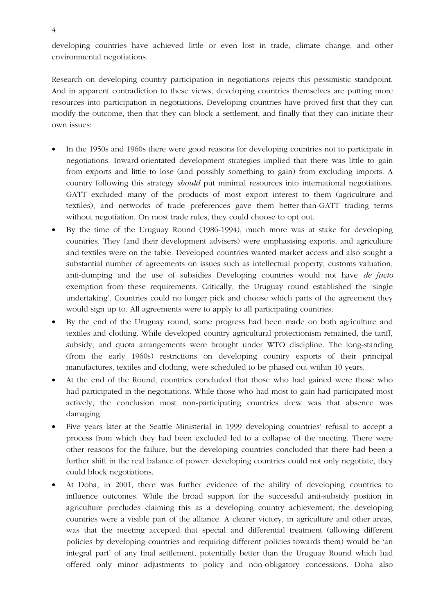developing countries have achieved little or even lost in trade, climate change, and other environmental negotiations.

Research on developing country participation in negotiations rejects this pessimistic standpoint. And in apparent contradiction to these views, developing countries themselves are putting more resources into participation in negotiations. Developing countries have proved first that they can modify the outcome, then that they can block a settlement, and finally that they can initiate their own issues:

- In the 1950s and 1960s there were good reasons for developing countries not to participate in negotiations. Inward-orientated development strategies implied that there was little to gain from exports and little to lose (and possibly something to gain) from excluding imports. A country following this strategy *should* put minimal resources into international negotiations. GATT excluded many of the products of most export interest to them (agriculture and textiles), and networks of trade preferences gave them better-than-GATT trading terms without negotiation. On most trade rules, they could choose to opt out.
- By the time of the Uruguay Round (1986-1994), much more was at stake for developing countries. They (and their development advisers) were emphasising exports, and agriculture and textiles were on the table. Developed countries wanted market access and also sought a substantial number of agreements on issues such as intellectual property, customs valuation, anti-dumping and the use of subsidies Developing countries would not have *de facto* exemption from these requirements. Critically, the Uruguay round established the 'single undertaking'. Countries could no longer pick and choose which parts of the agreement they would sign up to. All agreements were to apply to all participating countries.
- By the end of the Uruguay round, some progress had been made on both agriculture and textiles and clothing. While developed country agricultural protectionism remained, the tariff, subsidy, and quota arrangements were brought under WTO discipline. The long-standing (from the early 1960s) restrictions on developing country exports of their principal manufactures, textiles and clothing, were scheduled to be phased out within 10 years.
- At the end of the Round, countries concluded that those who had gained were those who had participated in the negotiations. While those who had most to gain had participated most actively, the conclusion most non-participating countries drew was that absence was damaging.
- Five years later at the Seattle Ministerial in 1999 developing countries' refusal to accept a process from which they had been excluded led to a collapse of the meeting. There were other reasons for the failure, but the developing countries concluded that there had been a further shift in the real balance of power: developing countries could not only negotiate, they could block negotiations.
- At Doha, in 2001, there was further evidence of the ability of developing countries to influence outcomes. While the broad support for the successful anti-subsidy position in agriculture precludes claiming this as a developing country achievement, the developing countries were a visible part of the alliance. A clearer victory, in agriculture and other areas, was that the meeting accepted that special and differential treatment (allowing different policies by developing countries and requiring different policies towards them) would be 'an integral part' of any final settlement, potentially better than the Uruguay Round which had offered only minor adjustments to policy and non-obligatory concessions. Doha also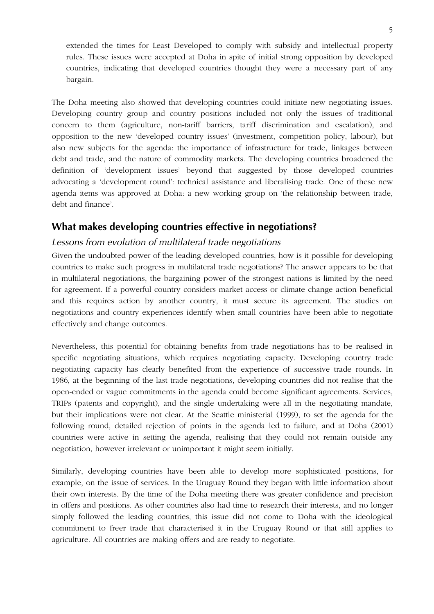extended the times for Least Developed to comply with subsidy and intellectual property rules. These issues were accepted at Doha in spite of initial strong opposition by developed countries, indicating that developed countries thought they were a necessary part of any bargain.

The Doha meeting also showed that developing countries could initiate new negotiating issues. Developing country group and country positions included not only the issues of traditional concern to them (agriculture, non-tariff barriers, tariff discrimination and escalation), and opposition to the new 'developed country issues' (investment, competition policy, labour), but also new subjects for the agenda: the importance of infrastructure for trade, linkages between debt and trade, and the nature of commodity markets. The developing countries broadened the definition of 'development issues' beyond that suggested by those developed countries advocating a 'development round': technical assistance and liberalising trade. One of these new agenda items was approved at Doha: a new working group on 'the relationship between trade, debt and finance'.

## **What makes developing countries effective in negotiations?**

#### *Lessons from evolution of multilateral trade negotiations*

Given the undoubted power of the leading developed countries, how is it possible for developing countries to make such progress in multilateral trade negotiations? The answer appears to be that in multilateral negotiations, the bargaining power of the strongest nations is limited by the need for agreement. If a powerful country considers market access or climate change action beneficial and this requires action by another country, it must secure its agreement. The studies on negotiations and country experiences identify when small countries have been able to negotiate effectively and change outcomes.

Nevertheless, this potential for obtaining benefits from trade negotiations has to be realised in specific negotiating situations, which requires negotiating capacity. Developing country trade negotiating capacity has clearly benefited from the experience of successive trade rounds. In 1986, at the beginning of the last trade negotiations, developing countries did not realise that the open-ended or vague commitments in the agenda could become significant agreements. Services, TRIPs (patents and copyright), and the single undertaking were all in the negotiating mandate, but their implications were not clear. At the Seattle ministerial (1999), to set the agenda for the following round, detailed rejection of points in the agenda led to failure, and at Doha (2001) countries were active in setting the agenda, realising that they could not remain outside any negotiation, however irrelevant or unimportant it might seem initially.

Similarly, developing countries have been able to develop more sophisticated positions, for example, on the issue of services. In the Uruguay Round they began with little information about their own interests. By the time of the Doha meeting there was greater confidence and precision in offers and positions. As other countries also had time to research their interests, and no longer simply followed the leading countries, this issue did not come to Doha with the ideological commitment to freer trade that characterised it in the Uruguay Round or that still applies to agriculture. All countries are making offers and are ready to negotiate.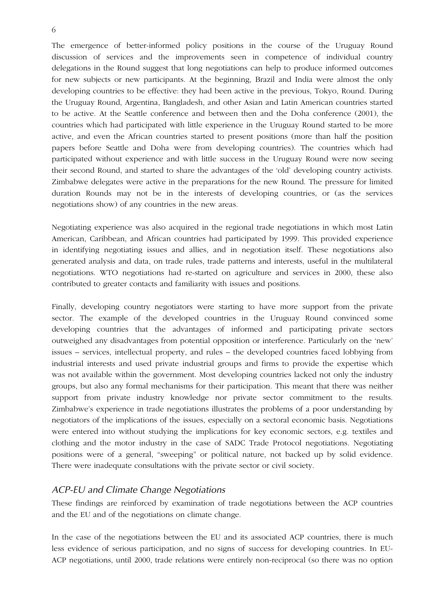The emergence of better-informed policy positions in the course of the Uruguay Round discussion of services and the improvements seen in competence of individual country delegations in the Round suggest that long negotiations can help to produce informed outcomes for new subjects or new participants. At the beginning, Brazil and India were almost the only developing countries to be effective: they had been active in the previous, Tokyo, Round. During the Uruguay Round, Argentina, Bangladesh, and other Asian and Latin American countries started to be active. At the Seattle conference and between then and the Doha conference (2001), the countries which had participated with little experience in the Uruguay Round started to be more active, and even the African countries started to present positions (more than half the position papers before Seattle and Doha were from developing countries). The countries which had participated without experience and with little success in the Uruguay Round were now seeing their second Round, and started to share the advantages of the 'old' developing country activists. Zimbabwe delegates were active in the preparations for the new Round. The pressure for limited duration Rounds may not be in the interests of developing countries, or (as the services negotiations show) of any countries in the new areas.

Negotiating experience was also acquired in the regional trade negotiations in which most Latin American, Caribbean, and African countries had participated by 1999. This provided experience in identifying negotiating issues and allies, and in negotiation itself. These negotiations also generated analysis and data, on trade rules, trade patterns and interests, useful in the multilateral negotiations. WTO negotiations had re-started on agriculture and services in 2000, these also contributed to greater contacts and familiarity with issues and positions.

Finally, developing country negotiators were starting to have more support from the private sector. The example of the developed countries in the Uruguay Round convinced some developing countries that the advantages of informed and participating private sectors outweighed any disadvantages from potential opposition or interference. Particularly on the 'new' issues – services, intellectual property, and rules – the developed countries faced lobbying from industrial interests and used private industrial groups and firms to provide the expertise which was not available within the government. Most developing countries lacked not only the industry groups, but also any formal mechanisms for their participation. This meant that there was neither support from private industry knowledge nor private sector commitment to the results. Zimbabwe's experience in trade negotiations illustrates the problems of a poor understanding by negotiators of the implications of the issues, especially on a sectoral economic basis. Negotiations were entered into without studying the implications for key economic sectors, e.g. textiles and clothing and the motor industry in the case of SADC Trade Protocol negotiations. Negotiating positions were of a general, "sweeping" or political nature, not backed up by solid evidence. There were inadequate consultations with the private sector or civil society.

#### *ACP-EU and Climate Change Negotiations*

These findings are reinforced by examination of trade negotiations between the ACP countries and the EU and of the negotiations on climate change.

In the case of the negotiations between the EU and its associated ACP countries, there is much less evidence of serious participation, and no signs of success for developing countries. In EU-ACP negotiations, until 2000, trade relations were entirely non-reciprocal (so there was no option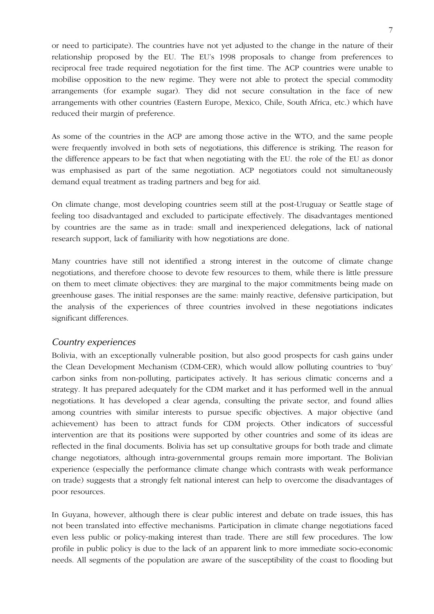or need to participate). The countries have not yet adjusted to the change in the nature of their relationship proposed by the EU. The EU's 1998 proposals to change from preferences to reciprocal free trade required negotiation for the first time. The ACP countries were unable to mobilise opposition to the new regime. They were not able to protect the special commodity arrangements (for example sugar). They did not secure consultation in the face of new arrangements with other countries (Eastern Europe, Mexico, Chile, South Africa, etc.) which have reduced their margin of preference.

As some of the countries in the ACP are among those active in the WTO, and the same people were frequently involved in both sets of negotiations, this difference is striking. The reason for the difference appears to be fact that when negotiating with the EU. the role of the EU as donor was emphasised as part of the same negotiation. ACP negotiators could not simultaneously demand equal treatment as trading partners and beg for aid.

On climate change, most developing countries seem still at the post-Uruguay or Seattle stage of feeling too disadvantaged and excluded to participate effectively. The disadvantages mentioned by countries are the same as in trade: small and inexperienced delegations, lack of national research support, lack of familiarity with how negotiations are done.

Many countries have still not identified a strong interest in the outcome of climate change negotiations, and therefore choose to devote few resources to them, while there is little pressure on them to meet climate objectives: they are marginal to the major commitments being made on greenhouse gases. The initial responses are the same: mainly reactive, defensive participation, but the analysis of the experiences of three countries involved in these negotiations indicates significant differences.

#### *Country experiences*

Bolivia, with an exceptionally vulnerable position, but also good prospects for cash gains under the Clean Development Mechanism (CDM-CER), which would allow polluting countries to 'buy' carbon sinks from non-polluting, participates actively. It has serious climatic concerns and a strategy. It has prepared adequately for the CDM market and it has performed well in the annual negotiations. It has developed a clear agenda, consulting the private sector, and found allies among countries with similar interests to pursue specific objectives. A major objective (and achievement) has been to attract funds for CDM projects. Other indicators of successful intervention are that its positions were supported by other countries and some of its ideas are reflected in the final documents. Bolivia has set up consultative groups for both trade and climate change negotiators, although intra-governmental groups remain more important. The Bolivian experience (especially the performance climate change which contrasts with weak performance on trade) suggests that a strongly felt national interest can help to overcome the disadvantages of poor resources.

In Guyana, however, although there is clear public interest and debate on trade issues, this has not been translated into effective mechanisms. Participation in climate change negotiations faced even less public or policy-making interest than trade. There are still few procedures. The low profile in public policy is due to the lack of an apparent link to more immediate socio-economic needs. All segments of the population are aware of the susceptibility of the coast to flooding but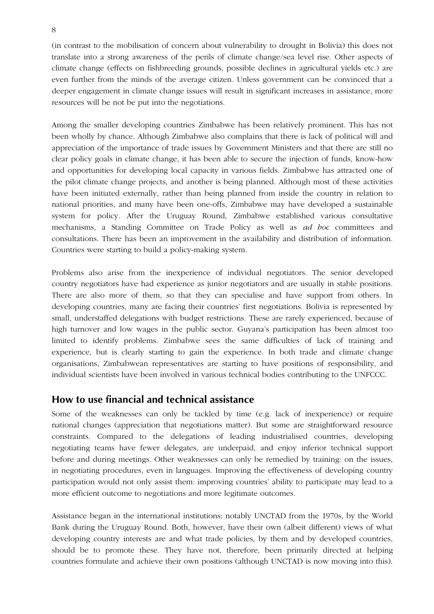(in contrast to the mobilisation of concern about vulnerability to drought in Bolivia) this does not translate into a strong awareness of the perils of climate change/sea level rise. Other aspects of climate change (effects on fishbreeding grounds, possible declines in agricultural yields etc.) are even further from the minds of the average citizen. Unless government can be convinced that a deeper engagement in climate change issues will result in significant increases in assistance, more resources will be not be put into the negotiations.

Among the smaller developing countries Zimbabwe has been relatively prominent. This has not been wholly by chance. Although Zimbabwe also complains that there is lack of political will and appreciation of the importance of trade issues by Government Ministers and that there are still no clear policy goals in climate change, it has been able to secure the injection of funds, know-how and opportunities for developing local capacity in various fields. Zimbabwe has attracted one of the pilot climate change projects, and another is being planned. Although most of these activities have been initiated externally, rather than being planned from inside the country in relation to national priorities, and many have been one-offs, Zimbabwe may have developed a sustainable system for policy. After the Uruguay Round, Zimbabwe established various consultative mechanisms, a Standing Committee on Trade Policy as well as *ad hoc* committees and consultations. There has been an improvement in the availability and distribution of information. Countries were starting to build a policy-making system.

Problems also arise from the inexperience of individual negotiators. The senior developed country negotiators have had experience as junior negotiators and are usually in stable positions. There are also more of them, so that they can specialise and have support from others. In developing countries, many are facing their countries' first negotiations. Bolivia is represented by small, understaffed delegations with budget restrictions. These are rarely experienced, because of high turnover and low wages in the public sector. Guyana's participation has been almost too limited to identify problems. Zimbabwe sees the same difficulties of lack of training and experience, but is clearly starting to gain the experience. In both trade and climate change organisations, Zimbabwean representatives are starting to have positions of responsibility, and individual scientists have been involved in various technical bodies contributing to the UNFCCC.

#### **How to use financial and technical assistance**

Some of the weaknesses can only be tackled by time (e.g. lack of inexperience) or require national changes (appreciation that negotiations matter). But some are straightforward resource constraints. Compared to the delegations of leading industrialised countries, developing negotiating teams have fewer delegates, are underpaid, and enjoy inferior technical support before and during meetings. Other weaknesses can only be remedied by training: on the issues, in negotiating procedures, even in languages. Improving the effectiveness of developing country participation would not only assist them: improving countries' ability to participate may lead to a more efficient outcome to negotiations and more legitimate outcomes.

Assistance began in the international institutions: notably UNCTAD from the 1970s, by the World Bank during the Uruguay Round. Both, however, have their own (albeit different) views of what developing country interests are and what trade policies, by them and by developed countries, should be to promote these. They have not, therefore, been primarily directed at helping countries formulate and achieve their own positions (although UNCTAD is now moving into this).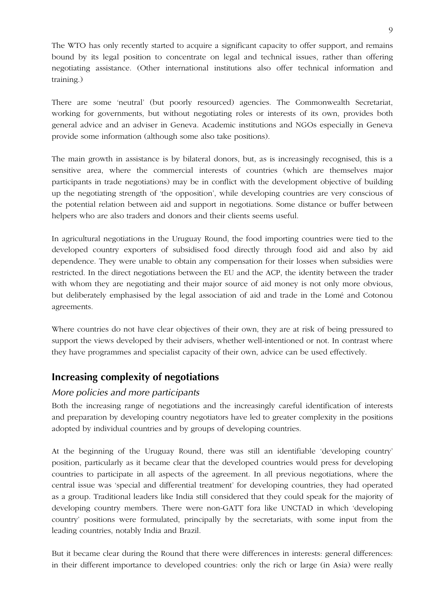The WTO has only recently started to acquire a significant capacity to offer support, and remains bound by its legal position to concentrate on legal and technical issues, rather than offering negotiating assistance. (Other international institutions also offer technical information and training.)

There are some 'neutral' (but poorly resourced) agencies. The Commonwealth Secretariat, working for governments, but without negotiating roles or interests of its own, provides both general advice and an adviser in Geneva. Academic institutions and NGOs especially in Geneva provide some information (although some also take positions).

The main growth in assistance is by bilateral donors, but, as is increasingly recognised, this is a sensitive area, where the commercial interests of countries (which are themselves major participants in trade negotiations) may be in conflict with the development objective of building up the negotiating strength of 'the opposition', while developing countries are very conscious of the potential relation between aid and support in negotiations. Some distance or buffer between helpers who are also traders and donors and their clients seems useful.

In agricultural negotiations in the Uruguay Round, the food importing countries were tied to the developed country exporters of subsidised food directly through food aid and also by aid dependence. They were unable to obtain any compensation for their losses when subsidies were restricted. In the direct negotiations between the EU and the ACP, the identity between the trader with whom they are negotiating and their major source of aid money is not only more obvious, but deliberately emphasised by the legal association of aid and trade in the Lomé and Cotonou agreements.

Where countries do not have clear objectives of their own, they are at risk of being pressured to support the views developed by their advisers, whether well-intentioned or not. In contrast where they have programmes and specialist capacity of their own, advice can be used effectively.

## **Increasing complexity of negotiations**

#### *More policies and more participants*

Both the increasing range of negotiations and the increasingly careful identification of interests and preparation by developing country negotiators have led to greater complexity in the positions adopted by individual countries and by groups of developing countries.

At the beginning of the Uruguay Round, there was still an identifiable 'developing country' position, particularly as it became clear that the developed countries would press for developing countries to participate in all aspects of the agreement. In all previous negotiations, where the central issue was 'special and differential treatment' for developing countries, they had operated as a group. Traditional leaders like India still considered that they could speak for the majority of developing country members. There were non-GATT fora like UNCTAD in which 'developing country' positions were formulated, principally by the secretariats, with some input from the leading countries, notably India and Brazil.

But it became clear during the Round that there were differences in interests: general differences: in their different importance to developed countries: only the rich or large (in Asia) were really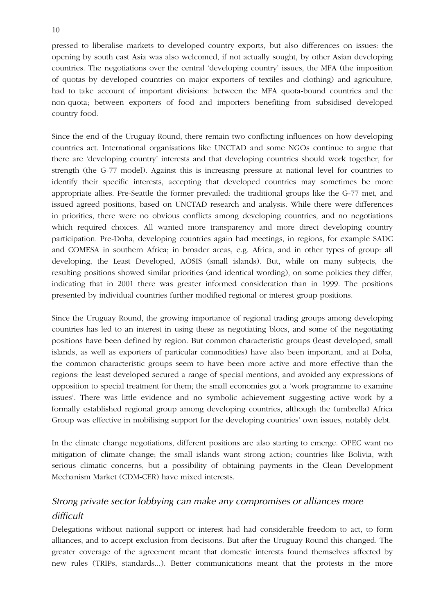pressed to liberalise markets to developed country exports, but also differences on issues: the opening by south east Asia was also welcomed, if not actually sought, by other Asian developing countries. The negotiations over the central 'developing country' issues, the MFA (the imposition of quotas by developed countries on major exporters of textiles and clothing) and agriculture, had to take account of important divisions: between the MFA quota-bound countries and the non-quota; between exporters of food and importers benefiting from subsidised developed country food.

Since the end of the Uruguay Round, there remain two conflicting influences on how developing countries act. International organisations like UNCTAD and some NGOs continue to argue that there are 'developing country' interests and that developing countries should work together, for strength (the G-77 model). Against this is increasing pressure at national level for countries to identify their specific interests, accepting that developed countries may sometimes be more appropriate allies. Pre-Seattle the former prevailed: the traditional groups like the G-77 met, and issued agreed positions, based on UNCTAD research and analysis. While there were differences in priorities, there were no obvious conflicts among developing countries, and no negotiations which required choices. All wanted more transparency and more direct developing country participation. Pre-Doha, developing countries again had meetings, in regions, for example SADC and COMESA in southern Africa; in broader areas, e.g. Africa, and in other types of group: all developing, the Least Developed, AOSIS (small islands). But, while on many subjects, the resulting positions showed similar priorities (and identical wording), on some policies they differ, indicating that in 2001 there was greater informed consideration than in 1999. The positions presented by individual countries further modified regional or interest group positions.

Since the Uruguay Round, the growing importance of regional trading groups among developing countries has led to an interest in using these as negotiating blocs, and some of the negotiating positions have been defined by region. But common characteristic groups (least developed, small islands, as well as exporters of particular commodities) have also been important, and at Doha, the common characteristic groups seem to have been more active and more effective than the regions: the least developed secured a range of special mentions, and avoided any expressions of opposition to special treatment for them; the small economies got a 'work programme to examine issues'. There was little evidence and no symbolic achievement suggesting active work by a formally established regional group among developing countries, although the (umbrella) Africa Group was effective in mobilising support for the developing countries' own issues, notably debt.

In the climate change negotiations, different positions are also starting to emerge. OPEC want no mitigation of climate change; the small islands want strong action; countries like Bolivia, with serious climatic concerns, but a possibility of obtaining payments in the Clean Development Mechanism Market (CDM-CER) have mixed interests.

# *Strong private sector lobbying can make any compromises or alliances more difficult*

Delegations without national support or interest had had considerable freedom to act, to form alliances, and to accept exclusion from decisions. But after the Uruguay Round this changed. The greater coverage of the agreement meant that domestic interests found themselves affected by new rules (TRIPs, standards...). Better communications meant that the protests in the more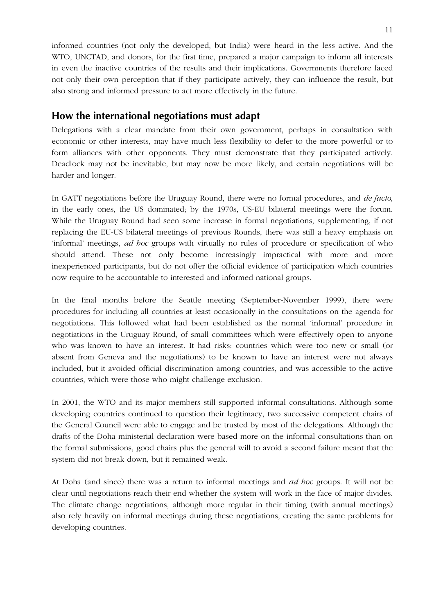informed countries (not only the developed, but India) were heard in the less active. And the WTO, UNCTAD, and donors, for the first time, prepared a major campaign to inform all interests in even the inactive countries of the results and their implications. Governments therefore faced not only their own perception that if they participate actively, they can influence the result, but also strong and informed pressure to act more effectively in the future.

#### **How the international negotiations must adapt**

Delegations with a clear mandate from their own government, perhaps in consultation with economic or other interests, may have much less flexibility to defer to the more powerful or to form alliances with other opponents. They must demonstrate that they participated actively. Deadlock may not be inevitable, but may now be more likely, and certain negotiations will be harder and longer.

In GATT negotiations before the Uruguay Round, there were no formal procedures, and *de facto*, in the early ones, the US dominated; by the 1970s, US-EU bilateral meetings were the forum. While the Uruguay Round had seen some increase in formal negotiations, supplementing, if not replacing the EU-US bilateral meetings of previous Rounds, there was still a heavy emphasis on 'informal' meetings, *ad hoc* groups with virtually no rules of procedure or specification of who should attend. These not only become increasingly impractical with more and more inexperienced participants, but do not offer the official evidence of participation which countries now require to be accountable to interested and informed national groups.

In the final months before the Seattle meeting (September-November 1999), there were procedures for including all countries at least occasionally in the consultations on the agenda for negotiations. This followed what had been established as the normal 'informal' procedure in negotiations in the Uruguay Round, of small committees which were effectively open to anyone who was known to have an interest. It had risks: countries which were too new or small (or absent from Geneva and the negotiations) to be known to have an interest were not always included, but it avoided official discrimination among countries, and was accessible to the active countries, which were those who might challenge exclusion.

In 2001, the WTO and its major members still supported informal consultations. Although some developing countries continued to question their legitimacy, two successive competent chairs of the General Council were able to engage and be trusted by most of the delegations. Although the drafts of the Doha ministerial declaration were based more on the informal consultations than on the formal submissions, good chairs plus the general will to avoid a second failure meant that the system did not break down, but it remained weak.

At Doha (and since) there was a return to informal meetings and *ad hoc* groups. It will not be clear until negotiations reach their end whether the system will work in the face of major divides. The climate change negotiations, although more regular in their timing (with annual meetings) also rely heavily on informal meetings during these negotiations, creating the same problems for developing countries.